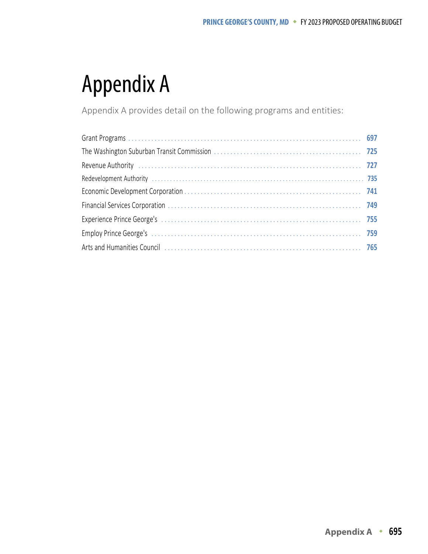## Appendix A

Appendix A provides detail on the following programs and entities:

| Revenue Authority (and according to the contract of the contract of the contract of the contract of the contract of the contract of the contract of the contract of the contract of the contract of the contract of the contra |  |
|--------------------------------------------------------------------------------------------------------------------------------------------------------------------------------------------------------------------------------|--|
| Redevelopment Authority (and according to the control of the control of the control of the control of the control of the control of the control of the control of the control of the control of the control of the control of  |  |
|                                                                                                                                                                                                                                |  |
|                                                                                                                                                                                                                                |  |
|                                                                                                                                                                                                                                |  |
|                                                                                                                                                                                                                                |  |
| Arts and Humanities Council (Allen Country Countries Country Countries Countries Council Countries Council Coun                                                                                                                |  |